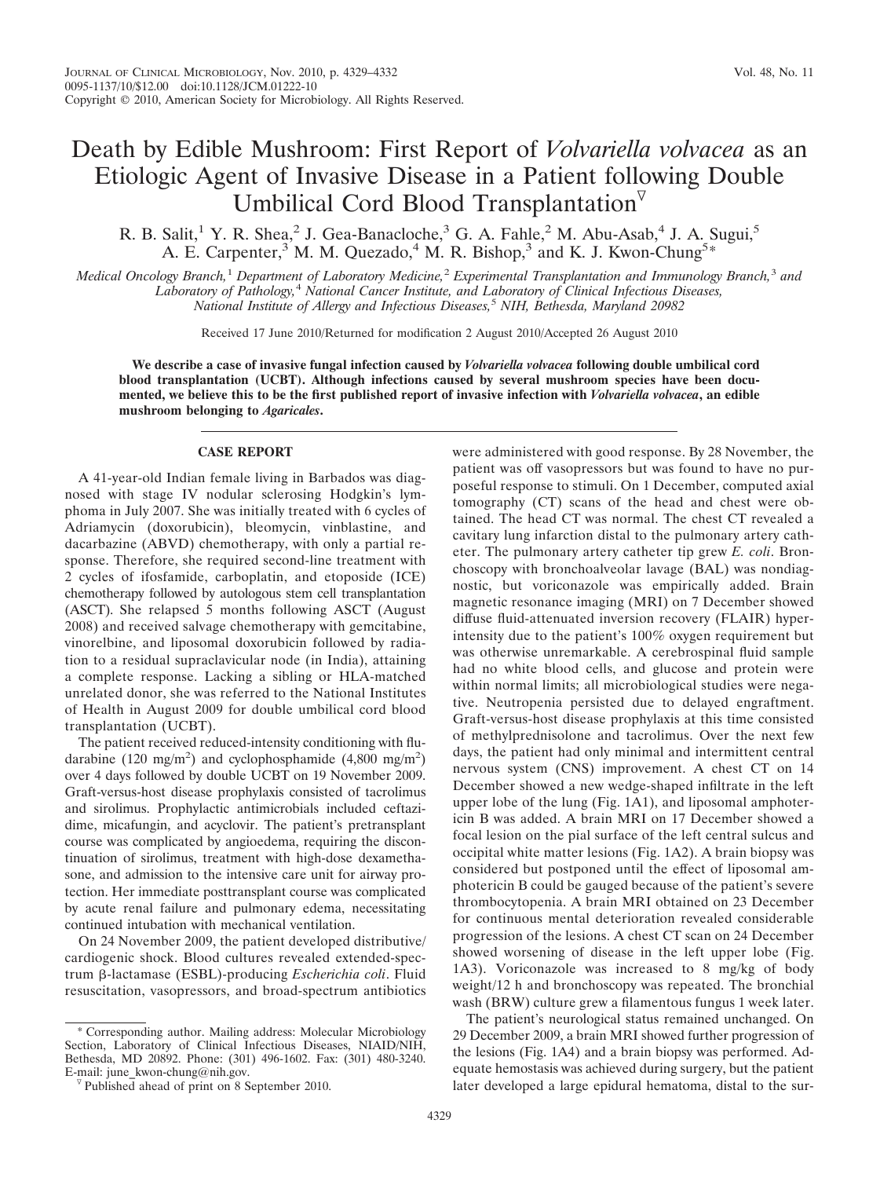## Death by Edible Mushroom: First Report of *Volvariella volvacea* as an Etiologic Agent of Invasive Disease in a Patient following Double Umbilical Cord Blood Transplantation<sup> $\triangledown$ </sup>

R. B. Salit,<sup>1</sup> Y. R. Shea,<sup>2</sup> J. Gea-Banacloche,<sup>3</sup> G. A. Fahle,<sup>2</sup> M. Abu-Asab,<sup>4</sup> J. A. Sugui,<sup>5</sup> A. E. Carpenter,<sup>3</sup> M. M. Quezado,<sup>4</sup> M. R. Bishop,<sup>3</sup> and K. J. Kwon-Chung<sup>5\*</sup>

*Medical Oncology Branch,*<sup>1</sup> *Department of Laboratory Medicine,*<sup>2</sup> *Experimental Transplantation and Immunology Branch,*<sup>3</sup> *and Laboratory of Pathology,*<sup>4</sup> *National Cancer Institute, and Laboratory of Clinical Infectious Diseases, National Institute of Allergy and Infectious Diseases,*<sup>5</sup> *NIH, Bethesda, Maryland 20982*

Received 17 June 2010/Returned for modification 2 August 2010/Accepted 26 August 2010

**We describe a case of invasive fungal infection caused by** *Volvariella volvacea* **following double umbilical cord blood transplantation (UCBT). Although infections caused by several mushroom species have been documented, we believe this to be the first published report of invasive infection with** *Volvariella volvacea***, an edible mushroom belonging to** *Agaricales***.**

## **CASE REPORT**

A 41-year-old Indian female living in Barbados was diagnosed with stage IV nodular sclerosing Hodgkin's lymphoma in July 2007. She was initially treated with 6 cycles of Adriamycin (doxorubicin), bleomycin, vinblastine, and dacarbazine (ABVD) chemotherapy, with only a partial response. Therefore, she required second-line treatment with 2 cycles of ifosfamide, carboplatin, and etoposide (ICE) chemotherapy followed by autologous stem cell transplantation (ASCT). She relapsed 5 months following ASCT (August 2008) and received salvage chemotherapy with gemcitabine, vinorelbine, and liposomal doxorubicin followed by radiation to a residual supraclavicular node (in India), attaining a complete response. Lacking a sibling or HLA-matched unrelated donor, she was referred to the National Institutes of Health in August 2009 for double umbilical cord blood transplantation (UCBT).

The patient received reduced-intensity conditioning with fludarabine (120 mg/m<sup>2</sup>) and cyclophosphamide (4,800 mg/m<sup>2</sup>) over 4 days followed by double UCBT on 19 November 2009. Graft-versus-host disease prophylaxis consisted of tacrolimus and sirolimus. Prophylactic antimicrobials included ceftazidime, micafungin, and acyclovir. The patient's pretransplant course was complicated by angioedema, requiring the discontinuation of sirolimus, treatment with high-dose dexamethasone, and admission to the intensive care unit for airway protection. Her immediate posttransplant course was complicated by acute renal failure and pulmonary edema, necessitating continued intubation with mechanical ventilation.

On 24 November 2009, the patient developed distributive/ cardiogenic shock. Blood cultures revealed extended-spectrum β-lactamase (ESBL)-producing *Escherichia coli*. Fluid resuscitation, vasopressors, and broad-spectrum antibiotics

\* Corresponding author. Mailing address: Molecular Microbiology Section, Laboratory of Clinical Infectious Diseases, NIAID/NIH, Bethesda, MD 20892. Phone: (301) 496-1602. Fax: (301) 480-3240.

were administered with good response. By 28 November, the patient was off vasopressors but was found to have no purposeful response to stimuli. On 1 December, computed axial tomography (CT) scans of the head and chest were obtained. The head CT was normal. The chest CT revealed a cavitary lung infarction distal to the pulmonary artery catheter. The pulmonary artery catheter tip grew *E. coli*. Bronchoscopy with bronchoalveolar lavage (BAL) was nondiagnostic, but voriconazole was empirically added. Brain magnetic resonance imaging (MRI) on 7 December showed diffuse fluid-attenuated inversion recovery (FLAIR) hyperintensity due to the patient's 100% oxygen requirement but was otherwise unremarkable. A cerebrospinal fluid sample had no white blood cells, and glucose and protein were within normal limits; all microbiological studies were negative. Neutropenia persisted due to delayed engraftment. Graft-versus-host disease prophylaxis at this time consisted of methylprednisolone and tacrolimus. Over the next few days, the patient had only minimal and intermittent central nervous system (CNS) improvement. A chest CT on 14 December showed a new wedge-shaped infiltrate in the left upper lobe of the lung (Fig. 1A1), and liposomal amphotericin B was added. A brain MRI on 17 December showed a focal lesion on the pial surface of the left central sulcus and occipital white matter lesions (Fig. 1A2). A brain biopsy was considered but postponed until the effect of liposomal amphotericin B could be gauged because of the patient's severe thrombocytopenia. A brain MRI obtained on 23 December for continuous mental deterioration revealed considerable progression of the lesions. A chest CT scan on 24 December showed worsening of disease in the left upper lobe (Fig. 1A3). Voriconazole was increased to 8 mg/kg of body weight/12 h and bronchoscopy was repeated. The bronchial wash (BRW) culture grew a filamentous fungus 1 week later.

The patient's neurological status remained unchanged. On 29 December 2009, a brain MRI showed further progression of the lesions (Fig. 1A4) and a brain biopsy was performed. Adequate hemostasis was achieved during surgery, but the patient later developed a large epidural hematoma, distal to the sur-

<sup>&</sup>lt;sup>V</sup> Published ahead of print on 8 September 2010.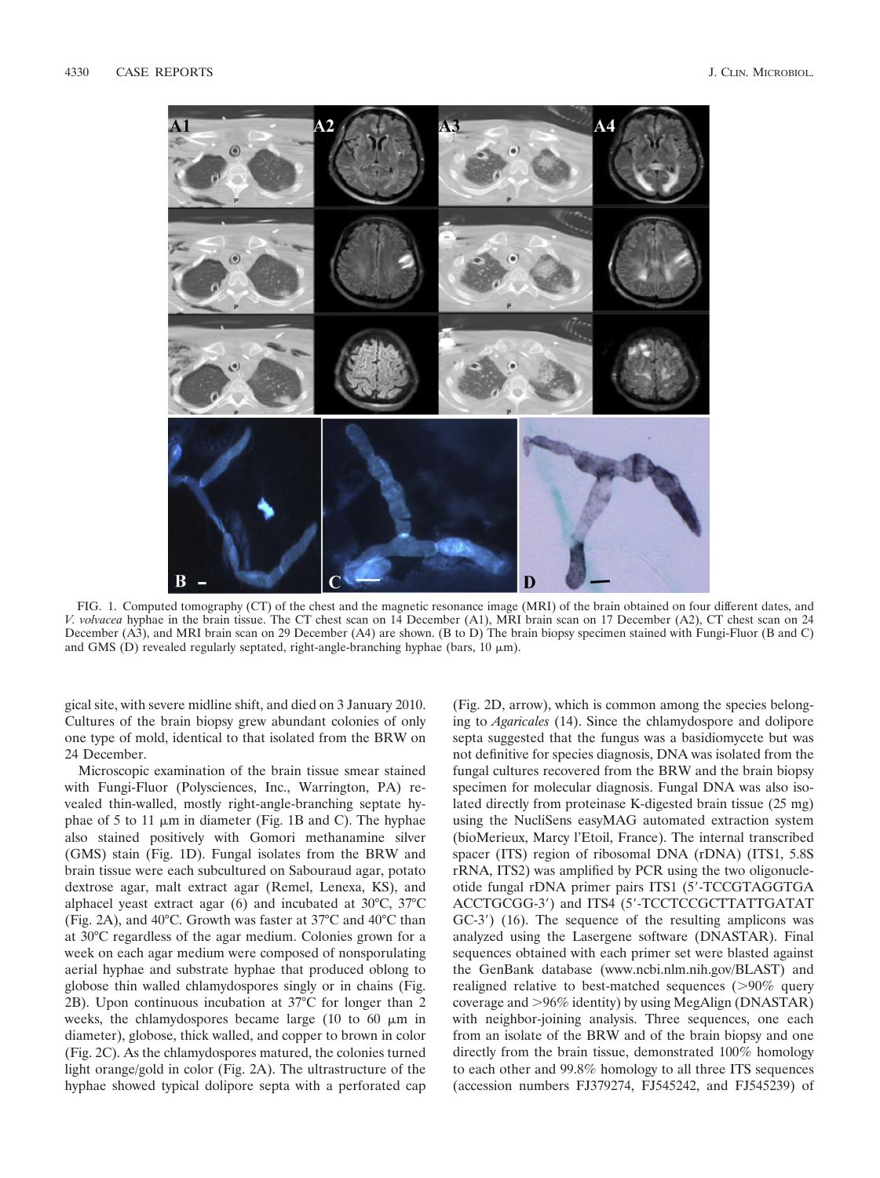

FIG. 1. Computed tomography (CT) of the chest and the magnetic resonance image (MRI) of the brain obtained on four different dates, and *V. volvacea* hyphae in the brain tissue. The CT chest scan on 14 December (A1), MRI brain scan on 17 December (A2), CT chest scan on 24 December (A3), and MRI brain scan on 29 December (A4) are shown. (B to D) The brain biopsy specimen stained with Fungi-Fluor (B and C) and GMS (D) revealed regularly septated, right-angle-branching hyphae (bars,  $10 \mu m$ ).

gical site, with severe midline shift, and died on 3 January 2010. Cultures of the brain biopsy grew abundant colonies of only one type of mold, identical to that isolated from the BRW on 24 December.

Microscopic examination of the brain tissue smear stained with Fungi-Fluor (Polysciences, Inc., Warrington, PA) revealed thin-walled, mostly right-angle-branching septate hyphae of 5 to 11  $\mu$ m in diameter (Fig. 1B and C). The hyphae also stained positively with Gomori methanamine silver (GMS) stain (Fig. 1D). Fungal isolates from the BRW and brain tissue were each subcultured on Sabouraud agar, potato dextrose agar, malt extract agar (Remel, Lenexa, KS), and alphacel yeast extract agar (6) and incubated at 30°C, 37°C (Fig. 2A), and 40°C. Growth was faster at 37°C and 40°C than at 30°C regardless of the agar medium. Colonies grown for a week on each agar medium were composed of nonsporulating aerial hyphae and substrate hyphae that produced oblong to globose thin walled chlamydospores singly or in chains (Fig. 2B). Upon continuous incubation at 37°C for longer than 2 weeks, the chlamydospores became large  $(10 \text{ to } 60 \mu \text{m} \text{ in } 10^{-10})$ diameter), globose, thick walled, and copper to brown in color (Fig. 2C). As the chlamydospores matured, the colonies turned light orange/gold in color (Fig. 2A). The ultrastructure of the hyphae showed typical dolipore septa with a perforated cap

(Fig. 2D, arrow), which is common among the species belonging to *Agaricales* (14). Since the chlamydospore and dolipore septa suggested that the fungus was a basidiomycete but was not definitive for species diagnosis, DNA was isolated from the fungal cultures recovered from the BRW and the brain biopsy specimen for molecular diagnosis. Fungal DNA was also isolated directly from proteinase K-digested brain tissue (25 mg) using the NucliSens easyMAG automated extraction system (bioMerieux, Marcy l'Etoil, France). The internal transcribed spacer (ITS) region of ribosomal DNA (rDNA) (ITS1, 5.8S rRNA, ITS2) was amplified by PCR using the two oligonucleotide fungal rDNA primer pairs ITS1 (5-TCCGTAGGTGA ACCTGCGG-3) and ITS4 (5-TCCTCCGCTTATTGATAT GC-3) (16). The sequence of the resulting amplicons was analyzed using the Lasergene software (DNASTAR). Final sequences obtained with each primer set were blasted against the GenBank database (www.ncbi.nlm.nih.gov/BLAST) and realigned relative to best-matched sequences (>90% query coverage and 96% identity) by using MegAlign (DNASTAR) with neighbor-joining analysis. Three sequences, one each from an isolate of the BRW and of the brain biopsy and one directly from the brain tissue, demonstrated 100% homology to each other and 99.8% homology to all three ITS sequences (accession numbers FJ379274, FJ545242, and FJ545239) of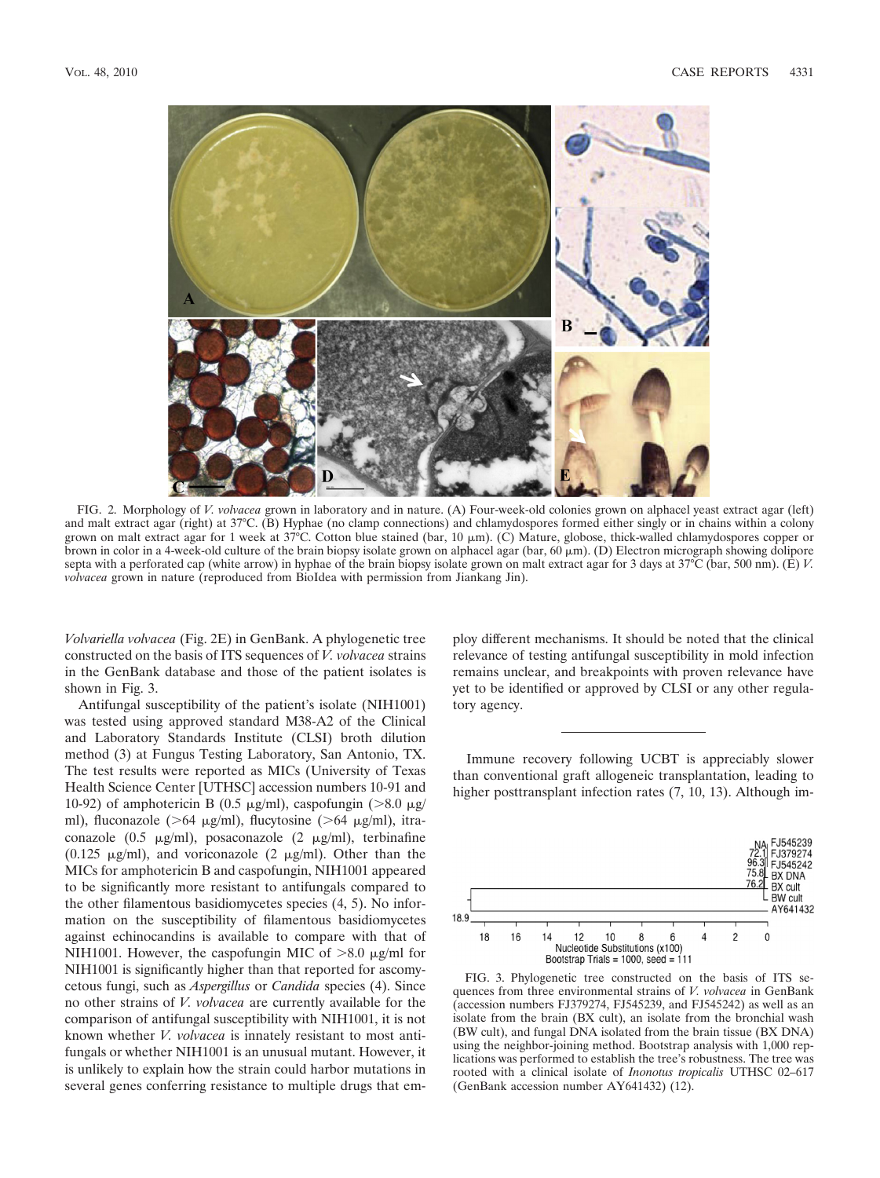

FIG. 2. Morphology of *V. volvacea* grown in laboratory and in nature. (A) Four-week-old colonies grown on alphacel yeast extract agar (left) and malt extract agar (right) at 37°C. (B) Hyphae (no clamp connections) and chlamydospores formed either singly or in chains within a colony grown on malt extract agar for 1 week at 37°C. Cotton blue stained (bar, 10  $\mu$ m). (C) Mature, globose, thick-walled chlamydospores copper or brown in color in a 4-week-old culture of the brain biopsy isolate grown on alphacel agar (bar, 60  $\mu$ m). (D) Electron micrograph showing dolipore septa with a perforated cap (white arrow) in hyphae of the brain biopsy isolate grown on malt extract agar for 3 days at 37°C (bar, 500 nm). (E) *V. volvacea* grown in nature (reproduced from BioIdea with permission from Jiankang Jin).

*Volvariella volvacea* (Fig. 2E) in GenBank. A phylogenetic tree constructed on the basis of ITS sequences of *V. volvacea* strains in the GenBank database and those of the patient isolates is shown in Fig. 3.

Antifungal susceptibility of the patient's isolate (NIH1001) was tested using approved standard M38-A2 of the Clinical and Laboratory Standards Institute (CLSI) broth dilution method (3) at Fungus Testing Laboratory, San Antonio, TX. The test results were reported as MICs (University of Texas Health Science Center [UTHSC] accession numbers 10-91 and 10-92) of amphotericin B (0.5  $\mu$ g/ml), caspofungin (>8.0  $\mu$ g/ ml), fluconazole ( $>64 \mu g/ml$ ), flucytosine ( $>64 \mu g/ml$ ), itraconazole  $(0.5 \text{ }\mu\text{g/ml})$ , posaconazole  $(2 \text{ }\mu\text{g/ml})$ , terbinafine (0.125  $\mu$ g/ml), and voriconazole (2  $\mu$ g/ml). Other than the MICs for amphotericin B and caspofungin, NIH1001 appeared to be significantly more resistant to antifungals compared to the other filamentous basidiomycetes species (4, 5). No information on the susceptibility of filamentous basidiomycetes against echinocandins is available to compare with that of NIH1001. However, the caspofungin MIC of  $>8.0 \mu$ g/ml for NIH1001 is significantly higher than that reported for ascomycetous fungi, such as *Aspergillus* or *Candida* species (4). Since no other strains of *V. volvacea* are currently available for the comparison of antifungal susceptibility with NIH1001, it is not known whether *V. volvacea* is innately resistant to most antifungals or whether NIH1001 is an unusual mutant. However, it is unlikely to explain how the strain could harbor mutations in several genes conferring resistance to multiple drugs that employ different mechanisms. It should be noted that the clinical relevance of testing antifungal susceptibility in mold infection remains unclear, and breakpoints with proven relevance have yet to be identified or approved by CLSI or any other regulatory agency.

Immune recovery following UCBT is appreciably slower than conventional graft allogeneic transplantation, leading to higher posttransplant infection rates  $(7, 10, 13)$ . Although im-



FIG. 3. Phylogenetic tree constructed on the basis of ITS sequences from three environmental strains of *V. volvacea* in GenBank (accession numbers FJ379274, FJ545239, and FJ545242) as well as an isolate from the brain (BX cult), an isolate from the bronchial wash (BW cult), and fungal DNA isolated from the brain tissue (BX DNA) using the neighbor-joining method. Bootstrap analysis with 1,000 replications was performed to establish the tree's robustness. The tree was rooted with a clinical isolate of *Inonotus tropicalis* UTHSC 02–617 (GenBank accession number AY641432) (12).